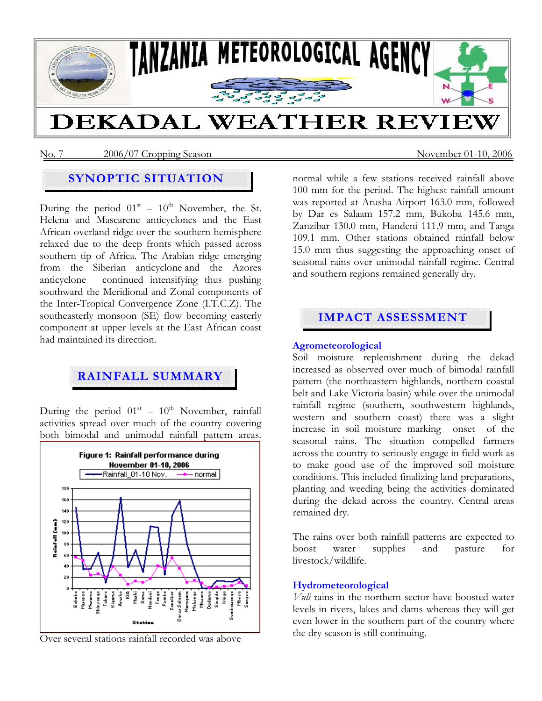

No. 7 2006/07 Cropping Season November 01-10, 2006

# **SYNOPTIC SITUATION**

During the period  $01<sup>st</sup> - 10<sup>th</sup>$  November, the St. Helena and Mascarene anticyclones and the East African overland ridge over the southern hemisphere relaxed due to the deep fronts which passed across southern tip of Africa. The Arabian ridge emerging from the Siberian anticyclone and the Azores anticyclone continued intensifying thus pushing southward the Meridional and Zonal components of the Inter-Tropical Convergence Zone (I.T.C.Z). The southeasterly monsoon (SE) flow becoming easterly component at upper levels at the East African coast had maintained its direction.

# **RAINFALL SUMMARY**

During the period  $01<sup>st</sup> - 10<sup>th</sup>$  November, rainfall activities spread over much of the country covering both bimodal and unimodal rainfall pattern areas.



Over several stations rainfall recorded was above

normal while a few stations received rainfall above 100 mm for the period. The highest rainfall amount was reported at Arusha Airport 163.0 mm, followed by Dar es Salaam 157.2 mm, Bukoba 145.6 mm, Zanzibar 130.0 mm, Handeni 111.9 mm, and Tanga 109.1 mm. Other stations obtained rainfall below 15.0 mm thus suggesting the approaching onset of seasonal rains over unimodal rainfall regime. Central and southern regions remained generally dry.

## **IMPACT ASSESSMENT**

#### **Agrometeorological**

Soil moisture replenishment during the dekad increased as observed over much of bimodal rainfall pattern (the northeastern highlands, northern coastal belt and Lake Victoria basin) while over the unimodal rainfall regime (southern, southwestern highlands, western and southern coast) there was a slight increase in soil moisture marking onset of the seasonal rains. The situation compelled farmers across the country to seriously engage in field work as to make good use of the improved soil moisture conditions. This included finalizing land preparations, planting and weeding being the activities dominated during the dekad across the country. Central areas remained dry.

The rains over both rainfall patterns are expected to boost water supplies and pasture for livestock/wildlife.

#### **Hydrometeorological**

*Vuli* rains in the northern sector have boosted water levels in rivers, lakes and dams whereas they will get even lower in the southern part of the country where the dry season is still continuing.